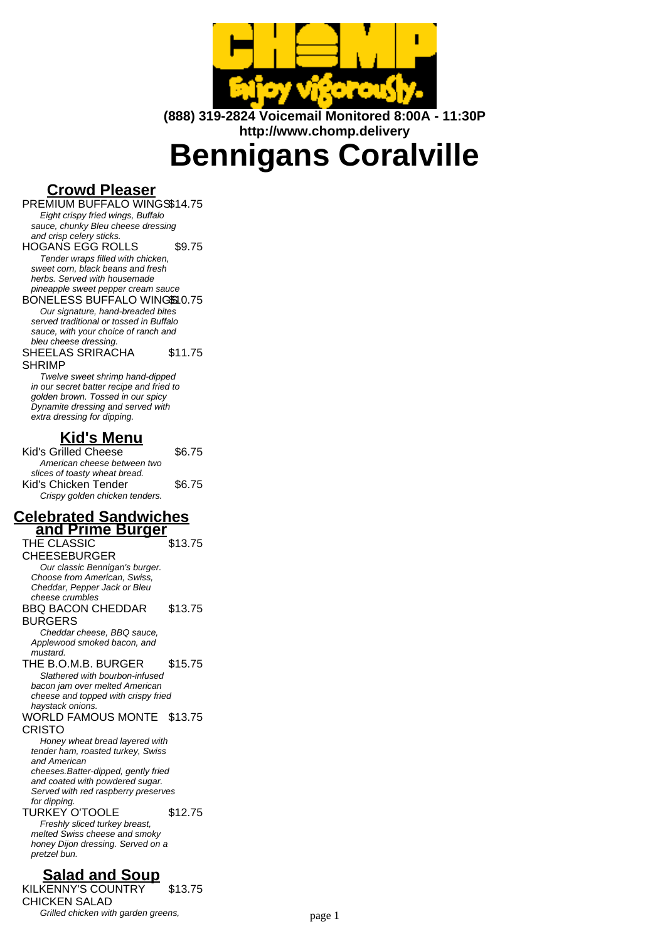

**(888) 319-2824 Voicemail Monitored 8:00A - 11:30P http://www.chomp.delivery**

# **Bennigans Coralville**

# **Crowd Pleaser**

PREMIUM BUFFALO WINGS\$14.75 Eight crispy fried wings, Buffalo sauce, chunky Bleu cheese dressing and crisp celery sticks. HOGANS EGG ROLLS \$9.75

Tender wraps filled with chicken, sweet corn, black beans and fresh herbs. Served with housemade pineapple sweet pepper cream sauce

BONELESS BUFFALO WINGS10.75 Our signature, hand-breaded bites served traditional or tossed in Buffalo sauce, with your choice of ranch and bleu cheese dressing.

SHEELAS SRIRACHA SHRIMP \$11.75

Twelve sweet shrimp hand-dipped in our secret batter recipe and fried to golden brown. Tossed in our spicy Dynamite dressing and served with extra dressing for dipping.

# **Kid's Menu**

Kid's Grilled Cheese \$6.75 American cheese between two slices of toasty wheat bread. Kid's Chicken Tender \$6.75 Crispy golden chicken tenders.

#### **Celebrated Sandwiches and Prime Burger**

THE CLASSIC CHEESEBURGER \$13.75 Our classic Bennigan's burger. Choose from American, Swiss, Cheddar, Pepper Jack or Bleu cheese crumbles BBQ BACON CHEDDAR BURGERS \$13.75 Cheddar cheese, BBQ sauce, Applewood smoked bacon, and mustard. THE B.O.M.B. BURGER \$15.75 Slathered with bourbon-infused bacon jam over melted American cheese and topped with crispy fried haystack onions. WORLD FAMOUS MONTE \$13.75 CRISTO Honey wheat bread layered with tender ham, roasted turkey, Swiss and American cheeses.Batter-dipped, gently fried and coated with powdered sugar. Served with red raspberry preserves for dipping. TURKEY O'TOOLE \$12.75 Freshly sliced turkey breast, melted Swiss cheese and smoky honey Dijon dressing. Served on a pretzel bun.

# **Salad and Soup**

KILKENNY'S COUNTRY CHICKEN SALAD \$13.75 Grilled chicken with garden greens, example the chicken page 1